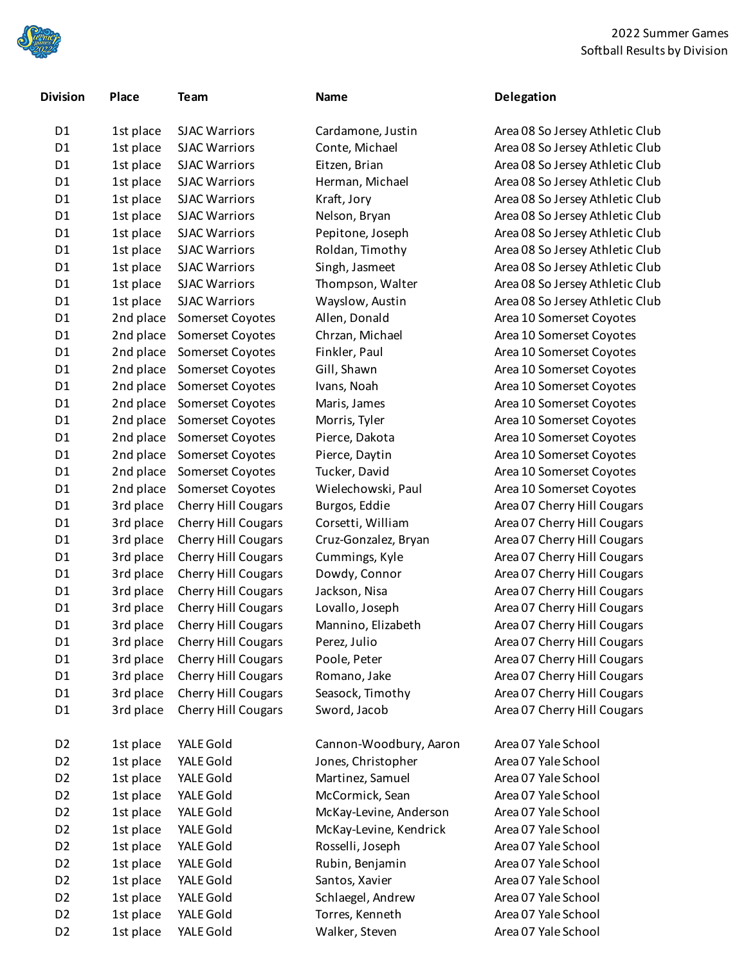

| Division       | Place     | Team                       |
|----------------|-----------|----------------------------|
| D <sub>1</sub> | 1st place | <b>SJAC Warriors</b>       |
| D <sub>1</sub> | 1st place | <b>SJAC Warriors</b>       |
| D <sub>1</sub> | 1st place | <b>SJAC Warriors</b>       |
| D <sub>1</sub> | 1st place | <b>SJAC Warriors</b>       |
| D <sub>1</sub> | 1st place | <b>SJAC Warriors</b>       |
| D <sub>1</sub> | 1st place | <b>SJAC Warriors</b>       |
| D <sub>1</sub> | 1st place | <b>SJAC Warriors</b>       |
| D1             | 1st place | <b>SJAC Warriors</b>       |
| D <sub>1</sub> | 1st place | <b>SJAC Warriors</b>       |
| D <sub>1</sub> | 1st place | <b>SJAC Warriors</b>       |
| D1             | 1st place | <b>SJAC Warriors</b>       |
| D <sub>1</sub> | 2nd place | Somerset Coyotes           |
| D <sub>1</sub> | 2nd place | Somerset Coyotes           |
| D <sub>1</sub> | 2nd place | Somerset Coyotes           |
| D <sub>1</sub> | 2nd place | Somerset Coyotes           |
| D <sub>1</sub> | 2nd place | Somerset Coyotes           |
| D <sub>1</sub> | 2nd place | Somerset Coyotes           |
| D <sub>1</sub> | 2nd place | Somerset Coyotes           |
| D <sub>1</sub> | 2nd place | Somerset Coyotes           |
| D <sub>1</sub> | 2nd place | Somerset Coyotes           |
| D <sub>1</sub> | 2nd place | Somerset Coyotes           |
| D <sub>1</sub> | 2nd place | Somerset Coyotes           |
| D <sub>1</sub> | 3rd place | <b>Cherry Hill Cougars</b> |
| D <sub>1</sub> | 3rd place | <b>Cherry Hill Cougars</b> |
| D <sub>1</sub> | 3rd place | <b>Cherry Hill Cougars</b> |
| D <sub>1</sub> | 3rd place | <b>Cherry Hill Cougars</b> |
| D <sub>1</sub> | 3rd place | <b>Cherry Hill Cougars</b> |
| D <sub>1</sub> | 3rd place | Cherry Hill Cougars        |
| D <sub>1</sub> | 3rd place | <b>Cherry Hill Cougars</b> |
| D <sub>1</sub> | 3rd place | <b>Cherry Hill Cougars</b> |
| D1             | 3rd place | Cherry Hill Cougars        |
| D <sub>1</sub> | 3rd place | <b>Cherry Hill Cougars</b> |
| D <sub>1</sub> | 3rd place | Cherry Hill Cougars        |
| D1             | 3rd place | Cherry Hill Cougars        |
| D1             | 3rd place | <b>Cherry Hill Cougars</b> |
| D2             | 1st place | YALE Gold                  |
| D <sub>2</sub> | 1st place | YALE Gold                  |
| D <sub>2</sub> | 1st place | YALE Gold                  |
| D <sub>2</sub> | 1st place | YALE Gold                  |
| D <sub>2</sub> | 1st place | YALE Gold                  |
| D <sub>2</sub> | 1st place | YALE Gold                  |
| D <sub>2</sub> | 1st place | YALE Gold                  |
| D <sub>2</sub> | 1st place | YALE Gold                  |
| D <sub>2</sub> | 1st place | YALE Gold                  |
| D <sub>2</sub> | 1st place | YALE Gold                  |
| D <sub>2</sub> | 1st place | YALE Gold                  |
|                |           |                            |

| Cardamone, Justin      |
|------------------------|
| Conte, Michael         |
| Eitzen, Brian          |
| Herman, Michael        |
| Kraft, Jory            |
| Nelson, Bryan          |
| Pepitone, Joseph       |
| Roldan, Timothy        |
| Singh, Jasmeet         |
| Thompson, Walter       |
| Wayslow, Austin        |
| Allen, Donald          |
| Chrzan, Michael        |
| Finkler, Paul          |
| Gill, Shawn            |
| Ivans, Noah            |
| Maris, James           |
| Morris, Tyler          |
| Pierce, Dakota         |
| Pierce, Daytin         |
| Tucker, David          |
| Wielechowski, Paul     |
| Burgos, Eddie          |
| Corsetti, William      |
| Cruz-Gonzalez, Bryan   |
| Cummings, Kyle         |
| Dowdy, Connor          |
| Jackson, Nisa          |
| Lovallo, Joseph        |
| Mannino, Elizabeth     |
| Perez, Julio           |
| Poole, Peter           |
| Romano, Jake           |
| Seasock, Timothy       |
| Sword, Jacob           |
|                        |
| Cannon-Woodbury, Aaro  |
| Jones, Christopher     |
| Martinez, Samuel       |
| McCormick, Sean        |
| McKay-Levine, Anderson |
| McKay-Levine, Kendrick |
| Rosselli, Joseph       |
| Ruhin Reniamin         |

## **Division Place Team Name Delegation**

Area 08 So Jersey Athletic Club Area 08 So Jersey Athletic Club Area 08 So Jersey Athletic Club Area 08 So Jersey Athletic Club Area 08 So Jersey Athletic Club Area 08 So Jersey Athletic Club Area 08 So Jersey Athletic Club Area 08 So Jersey Athletic Club Area 08 So Jersey Athletic Club Area 08 So Jersey Athletic Club Wayslow, Austin **18th Preaders Area 08 So Jersey Athletic Club** Area 10 Somerset Coyotes Chrzan, Michael **Area 10 Somerset Coyotes** Area 10 Somerset Coyotes Gill, Shawn **Brand Prea 10 Somerset Coyotes** Area 10 Somerset Coyotes Area 10 Somerset Coyotes Area 10 Somerset Coyotes Area 10 Somerset Coyotes Area 10 Somerset Coyotes Area 10 Somerset Coyotes Area 10 Somerset Coyotes Area 07 Cherry Hill Cougars D1 3rd place Cherry Hill Cougars Corsetti, William Area 07 Cherry Hill Cougars Area 07 Cherry Hill Cougars Cummings, Kyle **Area 07 Cherry Hill Cougars** Cummings, Kyle Area 07 Cherry Hill Cougars Area 07 Cherry Hill Cougars Area 07 Cherry Hill Cougars Area 07 Cherry Hill Cougars Area 07 Cherry Hill Cougars Area 07 Cherry Hill Cougars Area 07 Cherry Hill Cougars Area 07 Cherry Hill Cougars Area 07 Cherry Hill Cougars on Area 07 Yale School

Area 07 Yale School Area 07 Yale School Area 07 Yale School Area 07 Yale School Area 07 Yale School Area 07 Yale School Rubin, Benjamin Area 07 Yale School Santos, Xavier **Area 07 Yale School** Schlaegel, Andrew Area 07 Yale School Torres, Kenneth Area 07 Yale School D2 1st place YALE Gold Walker, Steven Area 07 Yale School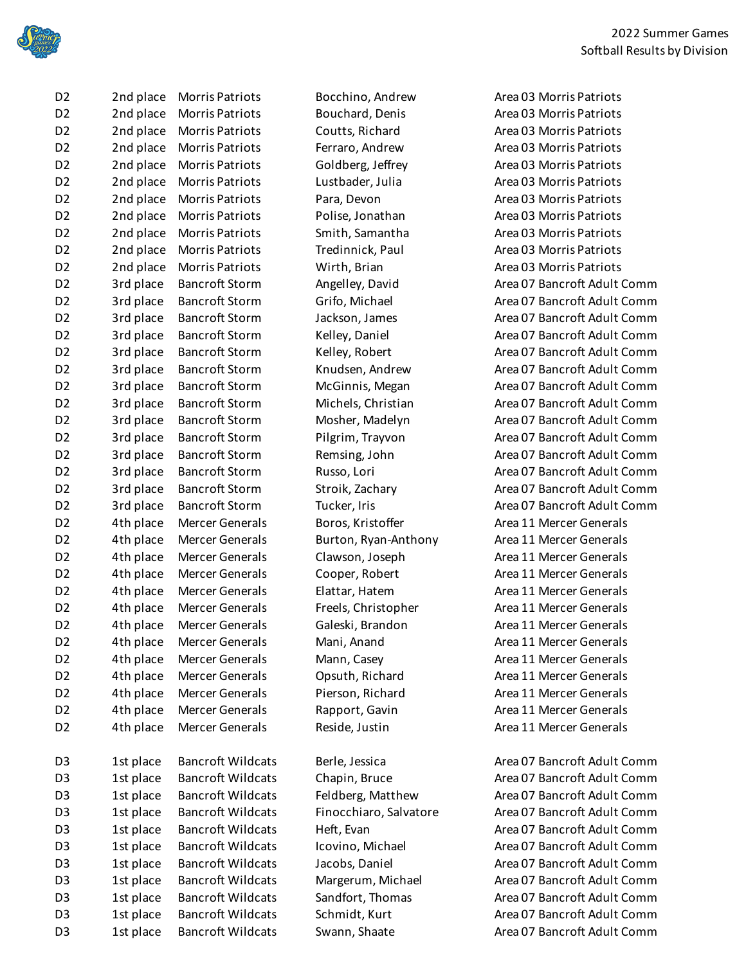

| D2                    | 2nd place                | Morris Patriots                                 |
|-----------------------|--------------------------|-------------------------------------------------|
| D <sub>2</sub>        | 2nd place                | <b>Morris Patriots</b>                          |
| D <sub>2</sub>        | 2nd place                | <b>Morris Patriots</b>                          |
| D <sub>2</sub>        | 2nd place                | <b>Morris Patriots</b>                          |
| D <sub>2</sub>        | 2nd place                | <b>Morris Patriots</b>                          |
| D <sub>2</sub>        | 2nd place                | <b>Morris Patriots</b>                          |
| D <sub>2</sub>        | 2nd place                | Morris Patriots                                 |
| D <sub>2</sub>        | 2nd place                | Morris Patriots                                 |
| D <sub>2</sub>        | 2nd place                | <b>Morris Patriots</b>                          |
| D <sub>2</sub>        | 2nd place                | <b>Morris Patriots</b>                          |
| D <sub>2</sub>        | 2nd place                | <b>Morris Patriots</b>                          |
| D <sub>2</sub>        | 3rd place                | <b>Bancroft Storm</b>                           |
| D <sub>2</sub>        | 3rd place                | <b>Bancroft Storm</b>                           |
| D <sub>2</sub>        | 3rd place                | <b>Bancroft Storm</b>                           |
| D <sub>2</sub>        | 3rd place                | Bancroft Storm                                  |
| D <sub>2</sub>        | 3rd place                | <b>Bancroft Storm</b>                           |
| D <sub>2</sub>        | 3rd place                | <b>Bancroft Storm</b>                           |
| D <sub>2</sub>        | 3rd place                | <b>Bancroft Storm</b>                           |
| D <sub>2</sub>        | 3rd place                | <b>Bancroft Storm</b>                           |
| D <sub>2</sub>        | 3rd place                | <b>Bancroft Storm</b>                           |
| D <sub>2</sub>        | 3rd place                | Bancroft Storm                                  |
| D <sub>2</sub>        | 3rd place                | <b>Bancroft Storm</b>                           |
| D <sub>2</sub>        | 3rd place                | <b>Bancroft Storm</b>                           |
| D <sub>2</sub>        | 3rd place                | <b>Bancroft Storm</b>                           |
| D <sub>2</sub>        | 3rd place                | <b>Bancroft Storm</b>                           |
| D <sub>2</sub>        | 4th place                | Mercer Generals                                 |
| D <sub>2</sub>        | 4th place                | Mercer Generals                                 |
| D <sub>2</sub>        | 4th place                | Mercer Generals                                 |
| D <sub>2</sub>        | 4th place                | Mercer Generals                                 |
| D <sub>2</sub>        | 4th place                | <b>Mercer Generals</b>                          |
| D <sub>2</sub>        | 4th place                | Mercer Generals                                 |
| D <sub>2</sub>        | 4th place                | <b>Mercer Generals</b>                          |
| D <sub>2</sub>        | 4th place                | Mercer Generals                                 |
| D <sub>2</sub>        | 4th place                | Mercer Generals                                 |
| D <sub>2</sub>        | 4th place                | Mercer Generals                                 |
| D <sub>2</sub>        | 4th place                | Mercer Generals                                 |
| D <sub>2</sub>        | 4th place                | Mercer Generals                                 |
| D <sub>2</sub>        | 4th place                | <b>Mercer Generals</b>                          |
|                       |                          |                                                 |
| D3                    |                          | <b>Bancroft Wildcats</b>                        |
| D <sub>3</sub>        | 1st place                | <b>Bancroft Wildcats</b>                        |
|                       | 1st place                | <b>Bancroft Wildcats</b>                        |
| D3                    | 1st place                |                                                 |
| D <sub>3</sub>        | 1st place                | <b>Bancroft Wildcats</b>                        |
| D <sub>3</sub>        | 1st place                | <b>Bancroft Wildcats</b>                        |
| D <sub>3</sub>        | 1st place                | <b>Bancroft Wildcats</b>                        |
| D <sub>3</sub>        | 1st place                | <b>Bancroft Wildcats</b>                        |
| D <sub>3</sub>        | 1st place                | <b>Bancroft Wildcats</b>                        |
| D3                    | 1st place                | <b>Bancroft Wildcats</b>                        |
| D <sub>3</sub><br>n o | 1st place<br>$1 - 1 - 1$ | <b>Bancroft Wildcats</b><br>$Dancrefl$ Wildootc |
|                       |                          |                                                 |

Reside, Justin **Area 11 Mercer Generals** Area 11 Mercer Generals

Bocchino, Andrew Area 03 Morris Patriots Bouchard, Denis **Area 03 Morris Patriots** Area 03 Morris Patriots Coutts, Richard **Area 03 Morris Patriots** Coutts, Richard Ferraro, Andrew Area 03 Morris Patriots Goldberg, Jeffrey **Area 03 Morris Patriots** Area 03 Morris Patriots Lustbader, Julia **Area 03 Morris Patriots** Area 03 Morris Patriots Para, Devon Area 03 Morris Patriots Polise, Jonathan Area 03 Morris Patriots Smith, Samantha Area 03 Morris Patriots D2 2nd place Morris Patriots Tredinnick, Paul Area 03 Morris Patriots Wirth, Brian **Brian Area 03 Morris Patriots** Wirth, Brian Area 03 Morris Patriots Angelley, David **Area 07 Bancroft Adult Comm** Grifo, Michael **Area 07 Bancroft Adult Comm** Jackson, James **Area 07 Bancroft Adult Comm** Kelley, Daniel **Area 07 Bancroft Adult Comm** Kelley, Robert **Area 07 Bancroft Adult Comm** Knudsen, Andrew **Area 07 Bancroft Adult Comm** McGinnis, Megan Area 07 Bancroft Adult Comm Michels, Christian **Area 07 Bancroft Adult Comm** D2 3rd place Bancroft Storm Mosher, Madelyn Area 07 Bancroft Adult Comm Pilgrim, Trayvon Area 07 Bancroft Adult Comm Remsing, John **Area 07 Bancroft Adult Comm** Russo, Lori **Bancroft Adult Comm** Area 07 Bancroft Adult Comm Stroik, Zachary **Bancroft Adult Comm** Tucker, Iris **Example 20 3rd Pancroft Adult Comm** Boros, Kristoffer **Area 11 Mercer Generals** Area 11 Mercer Generals Burton, Ryan-Anthony **Area 11 Mercer Generals** Clawson, Joseph Area 11 Mercer Generals Cooper, Robert **Area 11 Mercer Generals** Area 11 Mercer Generals Elattar, Hatem **Area 11 Mercer Generals** Area 11 Mercer Generals Freels, Christopher **Area 11 Mercer Generals** Galeski, Brandon **Area 11 Mercer Generals** Mani, Anand **Area 11 Mercer Generals** Mani, Anand Mann, Casey **Area 11 Mercer Generals** Mann, Casey Opsuth, Richard **Area 11 Mercer Generals** Area 11 Mercer Generals Pierson, Richard **Area 11 Mercer Generals** Rapport, Gavin **Area 11 Mercer Generals** Area 11 Mercer Generals

Berle, Jessica **Bancroft Adult Comm** Chapin, Bruce **Bancroft Adult Comm** Feldberg, Matthew **Area 07 Bancroft Adult Comm** Finocchiaro, Salvatore Area 07 Bancroft Adult Comm D3 1st place Bancroft Wildcats Heft, Evan Area 07 Bancroft Adult Comm Icovino, Michael **Area 07 Bancroft Adult Comm** Jacobs, Daniel **Area 07 Bancroft Adult Comm** Margerum, Michael **Area 07 Bancroft Adult Comm** Sandfort, Thomas **Area 07 Bancroft Adult Comm** Schmidt, Kurt **Area 07 Bancroft Adult Comm** D3 1st place Bancroft Wildcats Swann, Shaate Area 07 Bancroft Adult Comm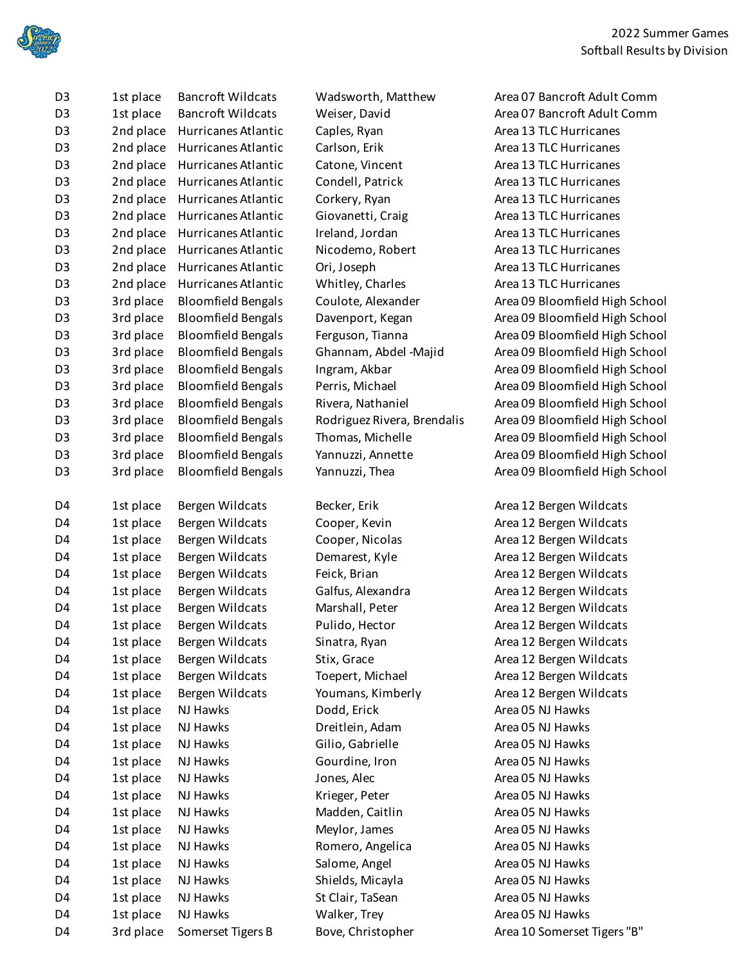

| D <sub>3</sub> | 1st place | <b>Bancroft Wildcats</b>  | Wadsworth, Matthew          | Area 07 Bancroft Adult Comm    |
|----------------|-----------|---------------------------|-----------------------------|--------------------------------|
| D <sub>3</sub> | 1st place | <b>Bancroft Wildcats</b>  | Weiser, David               | Area 07 Bancroft Adult Comm    |
| D <sub>3</sub> | 2nd place | Hurricanes Atlantic       | Caples, Ryan                | Area 13 TLC Hurricanes         |
| D <sub>3</sub> | 2nd place | Hurricanes Atlantic       | Carlson, Erik               | Area 13 TLC Hurricanes         |
| D <sub>3</sub> | 2nd place | Hurricanes Atlantic       | Catone, Vincent             | Area 13 TLC Hurricanes         |
| D <sub>3</sub> | 2nd place | Hurricanes Atlantic       | Condell, Patrick            | Area 13 TLC Hurricanes         |
| D <sub>3</sub> | 2nd place | Hurricanes Atlantic       | Corkery, Ryan               | Area 13 TLC Hurricanes         |
| D <sub>3</sub> | 2nd place | Hurricanes Atlantic       | Giovanetti, Craig           | Area 13 TLC Hurricanes         |
| D <sub>3</sub> | 2nd place | Hurricanes Atlantic       | Ireland, Jordan             | Area 13 TLC Hurricanes         |
| D <sub>3</sub> | 2nd place | Hurricanes Atlantic       | Nicodemo, Robert            | Area 13 TLC Hurricanes         |
| D <sub>3</sub> | 2nd place | Hurricanes Atlantic       | Ori, Joseph                 | Area 13 TLC Hurricanes         |
| D <sub>3</sub> | 2nd place | Hurricanes Atlantic       | Whitley, Charles            | Area 13 TLC Hurricanes         |
| D <sub>3</sub> | 3rd place | <b>Bloomfield Bengals</b> | Coulote, Alexander          | Area 09 Bloomfield High School |
| D <sub>3</sub> | 3rd place | <b>Bloomfield Bengals</b> | Davenport, Kegan            | Area 09 Bloomfield High School |
| D <sub>3</sub> | 3rd place | <b>Bloomfield Bengals</b> | Ferguson, Tianna            | Area 09 Bloomfield High School |
| D <sub>3</sub> | 3rd place | <b>Bloomfield Bengals</b> | Ghannam, Abdel -Majid       | Area 09 Bloomfield High School |
| D <sub>3</sub> | 3rd place | <b>Bloomfield Bengals</b> | Ingram, Akbar               | Area 09 Bloomfield High School |
| D <sub>3</sub> | 3rd place | <b>Bloomfield Bengals</b> | Perris, Michael             | Area 09 Bloomfield High School |
| D <sub>3</sub> | 3rd place | <b>Bloomfield Bengals</b> | Rivera, Nathaniel           | Area 09 Bloomfield High School |
| D <sub>3</sub> | 3rd place | <b>Bloomfield Bengals</b> | Rodriguez Rivera, Brendalis | Area 09 Bloomfield High School |
| D <sub>3</sub> | 3rd place | <b>Bloomfield Bengals</b> | Thomas, Michelle            | Area 09 Bloomfield High School |
| D <sub>3</sub> | 3rd place | <b>Bloomfield Bengals</b> | Yannuzzi, Annette           | Area 09 Bloomfield High School |
| D <sub>3</sub> | 3rd place | <b>Bloomfield Bengals</b> | Yannuzzi, Thea              | Area 09 Bloomfield High School |
|                |           |                           |                             |                                |
| D <sub>4</sub> | 1st place | Bergen Wildcats           | Becker, Erik                | Area 12 Bergen Wildcats        |
| D <sub>4</sub> | 1st place | Bergen Wildcats           | Cooper, Kevin               | Area 12 Bergen Wildcats        |
| D4             | 1st place | Bergen Wildcats           | Cooper, Nicolas             | Area 12 Bergen Wildcats        |
| D4             | 1st place | Bergen Wildcats           | Demarest, Kyle              | Area 12 Bergen Wildcats        |
| D <sub>4</sub> | 1st place | Bergen Wildcats           | Feick, Brian                | Area 12 Bergen Wildcats        |
| D4             | 1st place | Bergen Wildcats           | Galfus, Alexandra           | Area 12 Bergen Wildcats        |
| D4             | 1st place | Bergen Wildcats           | Marshall, Peter             | Area 12 Bergen Wildcats        |
| D4             | 1st place | Bergen Wildcats           | Pulido, Hector              | Area 12 Bergen Wildcats        |
| D <sub>4</sub> | 1st place | Bergen Wildcats           | Sinatra, Ryan               | Area 12 Bergen Wildcats        |
| D4             | 1st place | Bergen Wildcats           | Stix, Grace                 | Area 12 Bergen Wildcats        |
| D4             | 1st place | Bergen Wildcats           | Toepert, Michael            | Area 12 Bergen Wildcats        |
| D4             | 1st place | Bergen Wildcats           | Youmans, Kimberly           | Area 12 Bergen Wildcats        |
| D4             | 1st place | NJ Hawks                  | Dodd, Erick                 | Area 05 NJ Hawks               |
| D4             | 1st place | NJ Hawks                  | Dreitlein, Adam             | Area 05 NJ Hawks               |
| D4             | 1st place | NJ Hawks                  | Gilio, Gabrielle            | Area 05 NJ Hawks               |
| D4             | 1st place | NJ Hawks                  | Gourdine, Iron              | Area 05 NJ Hawks               |
| D4             | 1st place | NJ Hawks                  | Jones, Alec                 | Area 05 NJ Hawks               |
| D4             | 1st place | NJ Hawks                  | Krieger, Peter              | Area 05 NJ Hawks               |
| D4             | 1st place | NJ Hawks                  | Madden, Caitlin             | Area 05 NJ Hawks               |
| D <sub>4</sub> | 1st place | NJ Hawks                  | Meylor, James               | Area 05 NJ Hawks               |
| D4             | 1st place | NJ Hawks                  | Romero, Angelica            | Area 05 NJ Hawks               |
| D <sub>4</sub> | 1st place | NJ Hawks                  | Salome, Angel               | Area 05 NJ Hawks               |
| D4             | 1st place | NJ Hawks                  | Shields, Micayla            | Area 05 NJ Hawks               |
| D4             | 1st place | NJ Hawks                  | St Clair, TaSean            | Area 05 NJ Hawks               |
| D4             | 1st place | NJ Hawks                  | Walker, Trey                | Area 05 NJ Hawks               |
|                |           |                           |                             | Area 10 Somerset Tigers "B"    |
| D4             | 3rd place | Somerset Tigers B         | Bove, Christopher           |                                |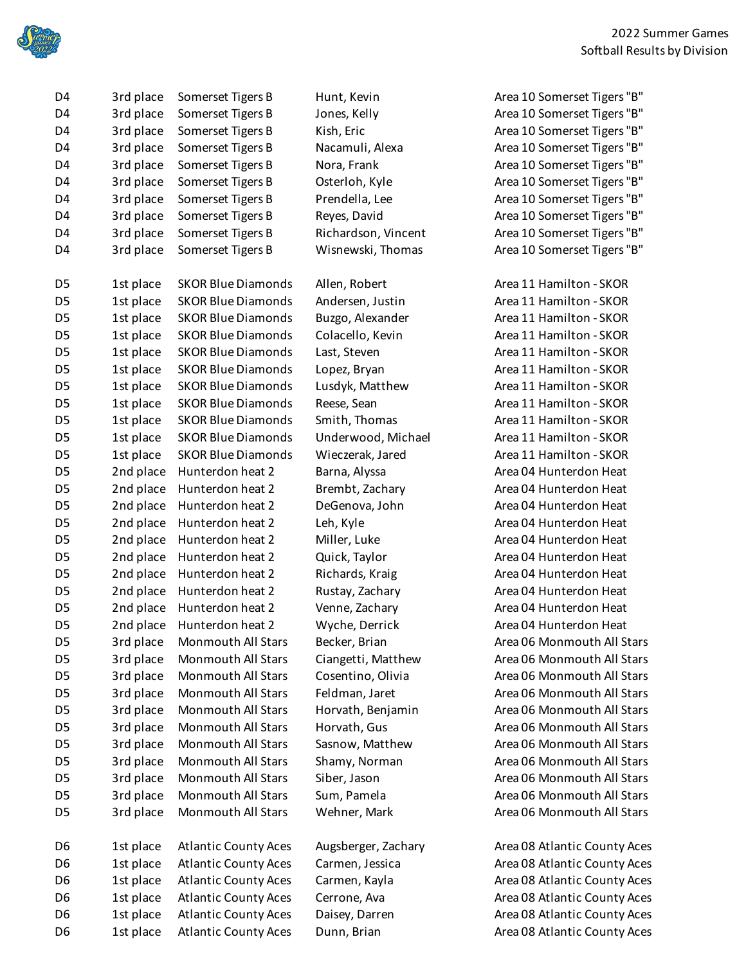

| D4             | 3rd place | Somerset Tigers B           | Hunt, Kevin         | Area 10 Somerset Tigers "B"  |
|----------------|-----------|-----------------------------|---------------------|------------------------------|
| D4             | 3rd place | Somerset Tigers B           | Jones, Kelly        | Area 10 Somerset Tigers "B"  |
| D4             | 3rd place | Somerset Tigers B           | Kish, Eric          | Area 10 Somerset Tigers "B"  |
| D4             | 3rd place | Somerset Tigers B           | Nacamuli, Alexa     | Area 10 Somerset Tigers "B"  |
| D4             | 3rd place | Somerset Tigers B           | Nora, Frank         | Area 10 Somerset Tigers "B"  |
| D4             | 3rd place | Somerset Tigers B           | Osterloh, Kyle      | Area 10 Somerset Tigers "B"  |
| D4             | 3rd place | Somerset Tigers B           | Prendella, Lee      | Area 10 Somerset Tigers "B"  |
| D4             | 3rd place | Somerset Tigers B           | Reyes, David        | Area 10 Somerset Tigers "B"  |
| D4             | 3rd place | Somerset Tigers B           | Richardson, Vincent | Area 10 Somerset Tigers "B"  |
| D4             | 3rd place | Somerset Tigers B           | Wisnewski, Thomas   | Area 10 Somerset Tigers "B"  |
| D <sub>5</sub> | 1st place | <b>SKOR Blue Diamonds</b>   | Allen, Robert       | Area 11 Hamilton - SKOR      |
| D5             | 1st place | <b>SKOR Blue Diamonds</b>   | Andersen, Justin    | Area 11 Hamilton - SKOR      |
| D <sub>5</sub> | 1st place | <b>SKOR Blue Diamonds</b>   | Buzgo, Alexander    | Area 11 Hamilton - SKOR      |
| D <sub>5</sub> | 1st place | <b>SKOR Blue Diamonds</b>   | Colacello, Kevin    | Area 11 Hamilton - SKOR      |
| D5             | 1st place | <b>SKOR Blue Diamonds</b>   | Last, Steven        | Area 11 Hamilton - SKOR      |
| D <sub>5</sub> | 1st place | <b>SKOR Blue Diamonds</b>   | Lopez, Bryan        | Area 11 Hamilton - SKOR      |
| D <sub>5</sub> | 1st place | <b>SKOR Blue Diamonds</b>   | Lusdyk, Matthew     | Area 11 Hamilton - SKOR      |
| D5             | 1st place | <b>SKOR Blue Diamonds</b>   | Reese, Sean         | Area 11 Hamilton - SKOR      |
| D <sub>5</sub> | 1st place | <b>SKOR Blue Diamonds</b>   | Smith, Thomas       | Area 11 Hamilton - SKOR      |
| D <sub>5</sub> | 1st place | <b>SKOR Blue Diamonds</b>   | Underwood, Michael  | Area 11 Hamilton - SKOR      |
| D5             | 1st place | <b>SKOR Blue Diamonds</b>   | Wieczerak, Jared    | Area 11 Hamilton - SKOR      |
| D <sub>5</sub> | 2nd place | Hunterdon heat 2            | Barna, Alyssa       | Area 04 Hunterdon Heat       |
| D <sub>5</sub> | 2nd place | Hunterdon heat 2            | Brembt, Zachary     | Area 04 Hunterdon Heat       |
| D5             | 2nd place | Hunterdon heat 2            | DeGenova, John      | Area 04 Hunterdon Heat       |
| D <sub>5</sub> | 2nd place | Hunterdon heat 2            | Leh, Kyle           | Area 04 Hunterdon Heat       |
| D <sub>5</sub> | 2nd place | Hunterdon heat 2            | Miller, Luke        | Area 04 Hunterdon Heat       |
| D5             | 2nd place | Hunterdon heat 2            | Quick, Taylor       | Area 04 Hunterdon Heat       |
| D <sub>5</sub> | 2nd place | Hunterdon heat 2            | Richards, Kraig     | Area 04 Hunterdon Heat       |
| D <sub>5</sub> | 2nd place | Hunterdon heat 2            | Rustay, Zachary     | Area 04 Hunterdon Heat       |
| D5             | 2nd place | Hunterdon heat 2            | Venne, Zachary      | Area 04 Hunterdon Heat       |
| D <sub>5</sub> | 2nd place | Hunterdon heat 2            | Wyche, Derrick      | Area 04 Hunterdon Heat       |
| D <sub>5</sub> | 3rd place | Monmouth All Stars          | Becker, Brian       | Area 06 Monmouth All Stars   |
| D5             | 3rd place | Monmouth All Stars          | Ciangetti, Matthew  | Area 06 Monmouth All Stars   |
| D <sub>5</sub> | 3rd place | <b>Monmouth All Stars</b>   | Cosentino, Olivia   | Area 06 Monmouth All Stars   |
| D <sub>5</sub> | 3rd place | <b>Monmouth All Stars</b>   | Feldman, Jaret      | Area 06 Monmouth All Stars   |
| D5             | 3rd place | Monmouth All Stars          | Horvath, Benjamin   | Area 06 Monmouth All Stars   |
| D5             | 3rd place | <b>Monmouth All Stars</b>   | Horvath, Gus        | Area 06 Monmouth All Stars   |
| D <sub>5</sub> | 3rd place | Monmouth All Stars          | Sasnow, Matthew     | Area 06 Monmouth All Stars   |
| D5             | 3rd place | Monmouth All Stars          | Shamy, Norman       | Area 06 Monmouth All Stars   |
| D <sub>5</sub> | 3rd place | <b>Monmouth All Stars</b>   | Siber, Jason        | Area 06 Monmouth All Stars   |
| D5             | 3rd place | Monmouth All Stars          | Sum, Pamela         | Area 06 Monmouth All Stars   |
| D5             | 3rd place | Monmouth All Stars          | Wehner, Mark        | Area 06 Monmouth All Stars   |
| D6             | 1st place | <b>Atlantic County Aces</b> | Augsberger, Zachary | Area 08 Atlantic County Aces |
| D6             | 1st place | <b>Atlantic County Aces</b> | Carmen, Jessica     | Area 08 Atlantic County Aces |
| D6             | 1st place | <b>Atlantic County Aces</b> | Carmen, Kayla       | Area 08 Atlantic County Aces |
| D6             | 1st place | <b>Atlantic County Aces</b> | Cerrone, Ava        | Area 08 Atlantic County Aces |
| D6             | 1st place | <b>Atlantic County Aces</b> | Daisey, Darren      | Area 08 Atlantic County Aces |
| D6             | 1st place | <b>Atlantic County Aces</b> | Dunn, Brian         | Area 08 Atlantic County Aces |